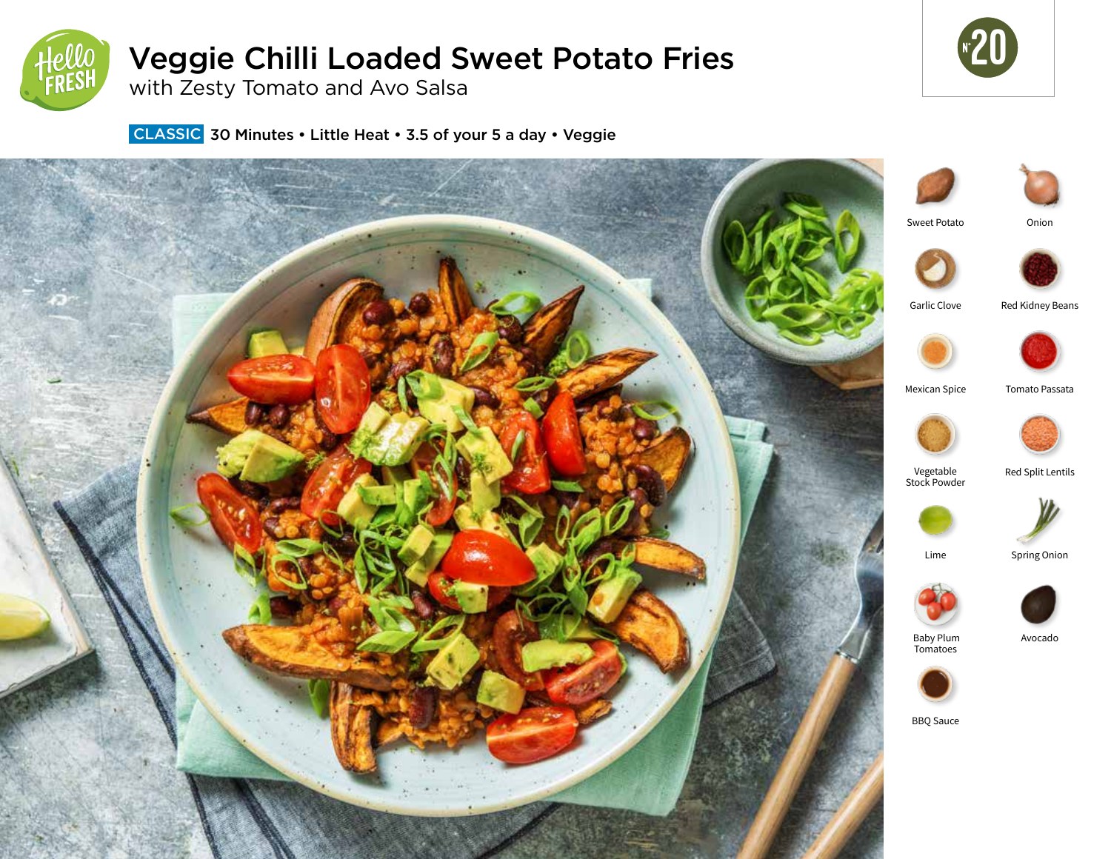

# Veggie Chilli Loaded Sweet Potato Fries

with Zesty Tomato and Avo Salsa



**CLASSIC** 30 Minutes • Little Heat • 3.5 of your 5 a day • Veggie